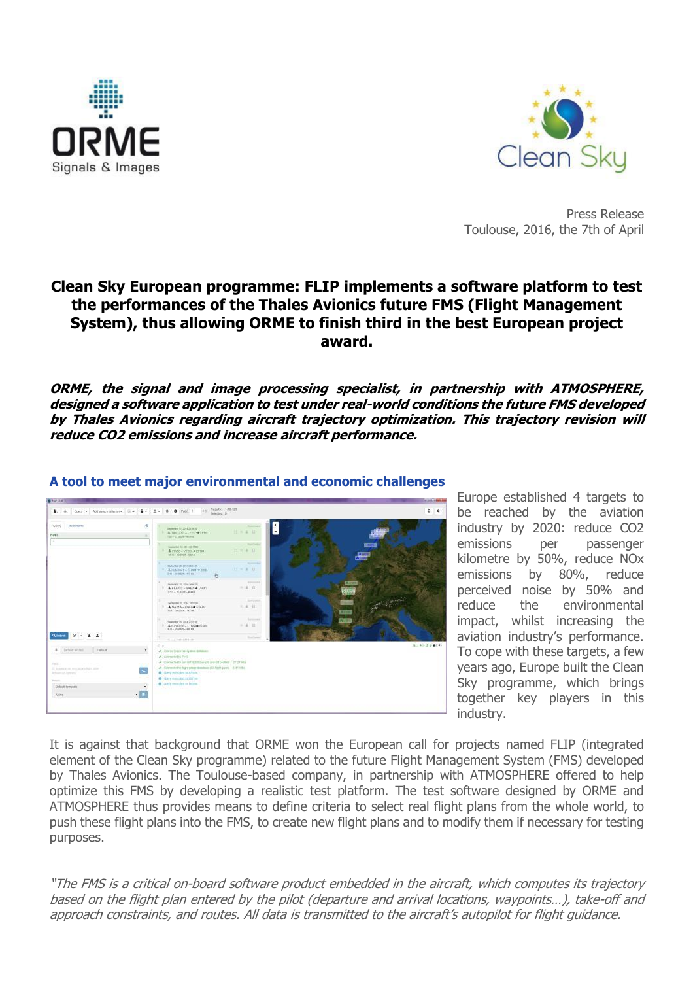



Press Release Toulouse, 2016, the 7th of April

## **Clean Sky European programme: FLIP implements a software platform to test the performances of the Thales Avionics future FMS (Flight Management System), thus allowing ORME to finish third in the best European project award.**

**ORME, the signal and image processing specialist, in partnership with ATMOSPHERE, designed a software application to test under real-world conditions the future FMS developed by Thales Avionics regarding aircraft trajectory optimization. This trajectory revision will reduce CO2 emissions and increase aircraft performance.**



## **A tool to meet major environmental and economic challenges**

Europe established 4 targets to be reached by the aviation industry by 2020: reduce CO2 emissions per passenger kilometre by 50%, reduce NOx emissions by 80%, reduce perceived noise by 50% and reduce the environmental impact, whilst increasing the aviation industry's performance. To cope with these targets, a few years ago, Europe built the Clean Sky programme, which brings together key players in this industry.

It is against that background that ORME won the European call for projects named FLIP (integrated element of the Clean Sky programme) related to the future Flight Management System (FMS) developed by Thales Avionics. The Toulouse-based company, in partnership with ATMOSPHERE offered to help optimize this FMS by developing a realistic test platform. The test software designed by ORME and ATMOSPHERE thus provides means to define criteria to select real flight plans from the whole world, to push these flight plans into the FMS, to create new flight plans and to modify them if necessary for testing purposes.

"The FMS is a critical on-board software product embedded in the aircraft, which computes its trajectory based on the flight plan entered by the pilot (departure and arrival locations, waypoints…), take-off and approach constraints, and routes. All data is transmitted to the aircraft's autopilot for flight guidance.